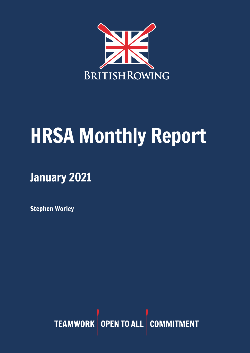

# HRSA Monthly Report

January 2021

Stephen Worley

TEAMWORK OPEN TO ALL COMMITMENT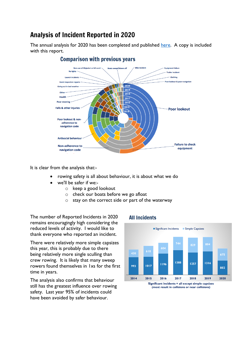# Analysis of Incident Reported in 2020

The annual analysis for 2020 has been completed and published [here.](https://www.britishrowing.org/wp-content/uploads/2021/01/2020-Incident-Analysis.pdf) A copy is included with this report.



#### **Comparison with previous years**

It is clear from the analysis that:-

- rowing safety is all about behaviour, it is about what we do
- we'll be safer if we:
	- o keep a good lookout
	- o check our boats before we go afloat
	- o stay on the correct side or part of the waterway

The number of Reported Incidents in 2020 remains encouragingly high considering the reduced levels of activity. I would like to thank everyone who reported an incident.

There were relatively more simple capsizes this year, this is probably due to there being relatively more single sculling than crew rowing. It is likely that many sweep rowers found themselves in 1xs for the first time in years.

The analysis also confirms that behaviour still has the greatest influence over rowing safety. Last year 95% of incidents could have been avoided by safer behaviour.

#### **All Incidents**



(most result in collisions or near collisions)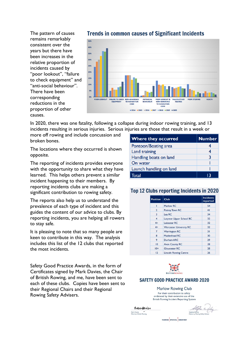The pattern of causes remains remarkably consistent over the years but there have been increases in the relative proportion of incidents caused by "poor lookout", "failure to check equipment" and "anti-social behaviour". There have been corresponding reductions in the proportion of other causes.



**Trends in common causes of Significant Incidents** 

In 2020, there was one fatality, following a collapse during indoor rowing training, and 13 incidents resulting in serious injuries. Serious injuries are those that result in a week or

more off rowing and include concussion and broken bones.

The locations where they occurred is shown opposite.

The reporting of incidents provides everyone with the opportunity to share what they have learned. This helps others prevent a similar incident happening to their members. By reporting incidents clubs are making a significant contribution to rowing safety.

The reports also help us to understand the prevalence of each type of incident and this guides the content of our advice to clubs. By reporting incidents, you are helping all rowers to stay safe.

It is pleasing to note that so many people are keen to contribute in this way. The analysis includes this list of the 12 clubs that reported the most incidents.

Safety Good Practice Awards, in the form of Certificates signed by Mark Davies, the Chair of British Rowing, and me, have been sent to each of these clubs. Copies have been sent to their Regional Chairs and their Regional Rowing Safety Advisers.

| <b>Where they occurred</b> | <b>Number</b> |
|----------------------------|---------------|
| Pontoon/Boating area       |               |
| Land training              |               |
| Handling boats on land     | ़२            |
| On water                   |               |
| Launch handling on land    |               |
| Total                      | 13            |

#### **Top 12 Clubs reporting Incidents in 2020**

| <b>Position</b> | Club                           | <b>Incidents</b><br>reported |
|-----------------|--------------------------------|------------------------------|
|                 | Marlow RC                      | 54                           |
| $\overline{2}$  | <b>Putney Town RC</b>          | 41                           |
| 3               | Lea RC                         | 34                           |
| 4               | Latymer Upper School BC        | 32                           |
| $4=$            | Leicester RC                   | 32                           |
| $4=$            | <b>Worcester University RC</b> | 32                           |
| $\overline{7}$  | <b>Warrington RC</b>           | 31                           |
| 8               | Maidenhead RC                  | 30                           |
| 9               | Durham ARC                     | 29                           |
| 10              | <b>Avon County RC</b>          | 28                           |
| $10=$           | <b>Gloucester RC</b>           | 28                           |
| 12              | <b>Lincoln Rowing Centre</b>   | 26                           |



#### **SAFETY GOOD PRACTICE AWARD 2020**

Marlow Rowing Club For their contribution to safety evidenced by their extensive use of the British Rowing Incident Reporting System

Maurdenin Mark Davies<br>Chairman British Rowing

Stephen whey Stephen V

TEAMWORK OPEN TO ALL COMMITMENT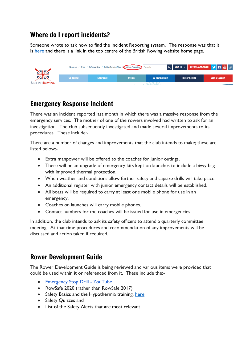# Where do I report incidents?

Someone wrote to ask how to find the Incident Reporting system. The response was that it is [here](https://incidentreporting.britishrowing.org/reports/16474) and there is a link in the top centre of the British Rowing website home page.



## Emergency Response Incident

There was an incident reported last month in which there was a massive response from the emergency services. The mother of one of the rowers involved had written to ask for an investigation. The club subsequently investigated and made several improvements to its procedures. These include:-

There are a number of changes and improvements that the club intends to make; these are listed below:-

- Extra manpower will be offered to the coaches for junior outings.
- There will be an upgrade of emergency kits kept on launches to include a bivvy bag with improved thermal protection.
- When weather and conditions allow further safety and capsize drills will take place.
- An additional register with junior emergency contact details will be established.
- All boats will be required to carry at least one mobile phone for use in an emergency.
- Coaches on launches will carry mobile phones.
- Contact numbers for the coaches will be issued for use in emergencies.

In addition, the club intends to ask its safety officers to attend a quarterly committee meeting. At that time procedures and recommendation of any improvements will be discussed and action taken if required.

## Rower Development Guide

The Rower Development Guide is being reviewed and various items were provided that could be used within it or referenced from it. These include the:-

- [Emergency](https://www.youtube.com/watch?v=3RBfI-O_AUo&feature=youtu.be) Stop Drill YouTube
- RowSafe 2020 (rather than RowSafe 2017)
- Safety Basics and the Hypothermia training, [here.](https://www.rowhow.org/mod/page/view.php?id=6650)
- Safety Quizzes and
- List of the Safety Alerts that are most relevant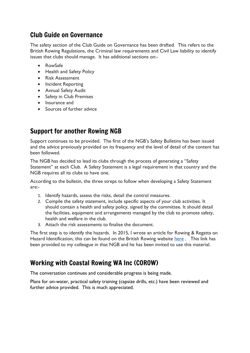## Club Guide on Governance

The safety section of the Club Guide on Governance has been drafted. This refers to the British Rowing Regulations, the Criminal law requirements and Civil Law liability to identify issues that clubs should manage. It has additional sections on:-

- RowSafe
- Health and Safety Policy
- Risk Assessment
- Incident Reporting
- Annual Safety Audit
- Safety in Club Premises
- Insurance and
- Sources of further advice

# Support for another Rowing NGB

Support continues to be provided. The first of the NGB's Safety Bulletins has been issued and the advice previously provided on its frequency and the level of detail of the content has been followed.

The NGB has decided to lead its clubs through the process of generating a "Safety Statement" at each Club. A Safety Statement is a legal requirement in that country and the NGB requires all its clubs to have one.

According to the bulletin, the three streps to follow when developing a Safety Statement are:-

- 1. Identify hazards, assess the risks, detail the control measures.
- 2. Compile the safety statement, include specific aspects of your club activities. It should contain a health and safety policy, signed by the committee. It should detail the facilities, equipment and arrangements managed by the club to promote safety, health and welfare in the club.
- 3. Attach the risk assessments to finalise the document.

The first step is to identify the hazards. In 2015, I wrote an article for Rowing & Regatta on Hazard Identification, this can be found on the British Rowing website [here](https://www.britishrowing.org/2015/11/did-you-see-the-hazard-spotting-quiz-in-rowing-and-regatta/) . This link has been provided to my colleague in that NGB and he has been invited to use this material.

## Working with Coastal Rowing WA Inc (COROW)

The conversation continues and considerable progress is being made.

Plans for on-water, practical safety training (capsize drills, etc.) have been reviewed and further advice provided. This is much appreciated.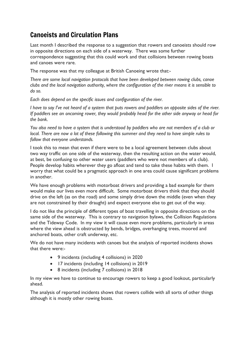# Canoeists and Circulation Plans

Last month I described the response to a suggestion that rowers and canoeists should row in opposite directions on each side of a waterway. There was some further correspondence suggesting that this could work and that collisions between rowing boats and canoes were rare.

The response was that my colleague at British Canoeing wrote that:-

*There are some local navigation protocols that have been developed between rowing clubs, canoe clubs and the local navigation authority, where the configuration of the river means it is sensible to do so.*

*Each does depend on the specific issues and configuration of the river.*

I have to say I've not heard of a system that puts rowers and paddlers on opposite sides of the river. *If paddlers see an oncoming rower, they would probably head for the other side anyway or head for the bank.*

You also need to have a system that is understood by paddlers who are not members of a club or local. There are now a lot of these following this summer and they need to have simple rules to *follow that everyone understands.*

I took this to mean that even if there were to be a local agreement between clubs about two way traffic on one side of the waterway, then the resulting action on the water would, at best, be confusing to other water users (paddlers who were not members of a club). People develop habits wherever they go afloat and tend to take these habits with them. I worry that what could be a pragmatic approach in one area could cause significant problems in another.

We have enough problems with motorboat drivers and providing a bad example for them would make our lives even more difficult. Some motorboat drivers think that they should drive on the left (as on the road) and some simply drive down the middle (even when they are not constrained by their draught) and expect everyone else to get out of the way.

I do not like the principle of different types of boat travelling in opposite directions on the same side of the waterway. This is contrary to navigation bylaws, the Collision Regulations and the Tideway Code. In my view it will cause even more problems, particularly in areas where the view ahead is obstructed by bends, bridges, overhanging trees, moored and anchored boats, other craft underway, etc.

We do not have many incidents with canoes but the analysis of reported incidents shows that there were:-

- 9 incidents (including 4 collisions) in 2020
- 17 incidents (including 14 collisions) in 2019
- 8 incidents (including 7 collisions) in 2018

In my view we have to continue to encourage rowers to keep a good lookout, particularly ahead.

The analysis of reported incidents shows that rowers collide with all sorts of other things although it is mostly other rowing boats.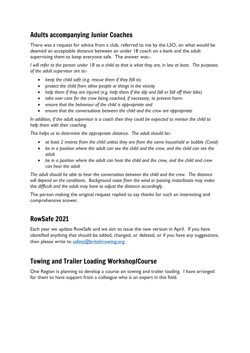# Adults accompanying Junior Coaches

There was a request for advice from a club, referred to me by the LSO, on what would be deemed an acceptable distance between an under 18 coach on a bank and the adult supervising them to keep everyone safe. The answer was:-

*I will refer to the person under 18 as a child as that is what they are, in law at least. The purposes of the adult supervisor are to:-*

- *keep the child safe (e.g. rescue them if they fall in)*
- *protect the child from other people or things in the vicinity*
- *help them if they are injured (e.g. help them if the slip and fall or fall off their bike)*
- *take over care for the crew being coached, if necessary, to prevent harm*
- *ensure that the behaviour of the child is appropriate and*
- *ensure that the conversations between the child and the crew are appropriate*

*In addition, if the adult supervisor is a coach then they could be expected to mentor the child to help them with their coaching.*

*This helps us to determine the appropriate distance. The adult should be:-*

- *at least 2 metres from the child unless they are from the same household or bubble (Covid)*
- *be in a position where the adult can see the child and the crew, and the child can see the adult*
- *be in a position where the adult can hear the child and the crew, and the child and crew can hear the adult*

*The adult should be able to hear the conversation between the child and the crew. The distance will depend on the conditions. Background noise from the wind or passing motorboats may make this difficult and the adult may have to adjust the distance accordingly.* 

The person making the original request replied to say thanks for such an interesting and comprehensive answer.

# RowSafe 2021

Each year we update RowSafe and we aim to issue the new version in April. If you have identified anything that should be added, changed, or deleted, or if you have any suggestions, then please write to [safety@britishrowing.org](mailto:safety@britishrowing.org).

# Towing and Trailer Loading Workshop/Course

One Region is planning to develop a course on towing and trailer loading. I have arranged for them to have support from a colleague who is an expert in this field.